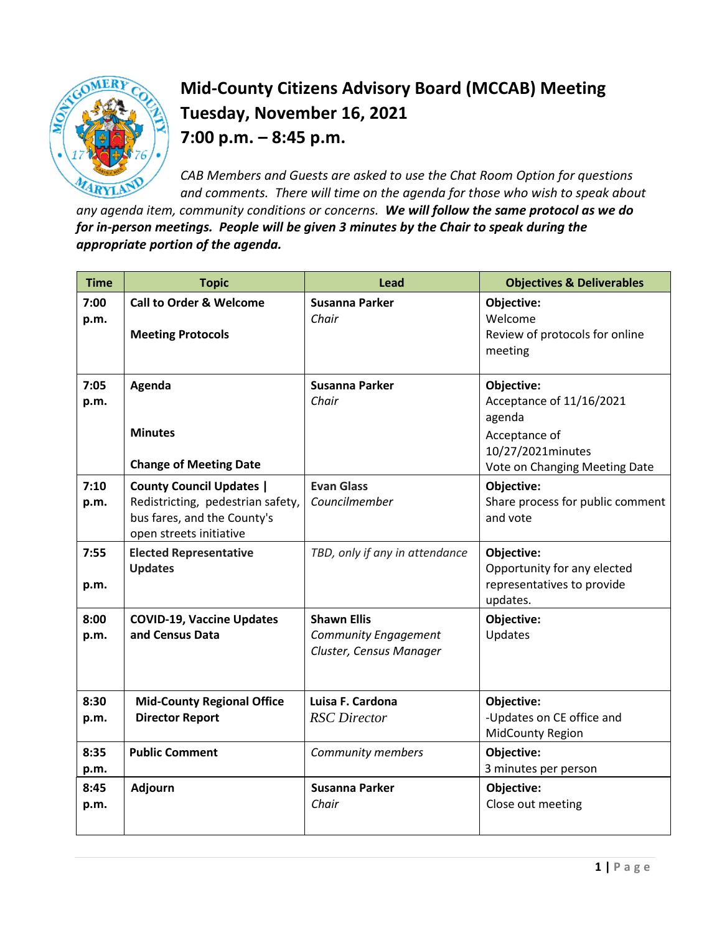

## **Mid-County Citizens Advisory Board (MCCAB) Meeting Tuesday, November 16, 2021 7:00 p.m. – 8:45 p.m.**

*CAB Members and Guests are asked to use the Chat Room Option for questions and comments. There will time on the agenda for those who wish to speak about* 

*any agenda item, community conditions or concerns. We will follow the same protocol as we do for in-person meetings. People will be given 3 minutes by the Chair to speak during the appropriate portion of the agenda.* 

| <b>Time</b>  | <b>Topic</b>                                                                                                                   | <b>Lead</b>                                                                  | <b>Objectives &amp; Deliverables</b>                                                                                    |
|--------------|--------------------------------------------------------------------------------------------------------------------------------|------------------------------------------------------------------------------|-------------------------------------------------------------------------------------------------------------------------|
| 7:00<br>p.m. | <b>Call to Order &amp; Welcome</b><br><b>Meeting Protocols</b>                                                                 | <b>Susanna Parker</b><br>Chair                                               | Objective:<br>Welcome<br>Review of protocols for online<br>meeting                                                      |
| 7:05<br>p.m. | Agenda<br><b>Minutes</b><br><b>Change of Meeting Date</b>                                                                      | <b>Susanna Parker</b><br>Chair                                               | Objective:<br>Acceptance of 11/16/2021<br>agenda<br>Acceptance of<br>10/27/2021minutes<br>Vote on Changing Meeting Date |
| 7:10<br>p.m. | <b>County Council Updates  </b><br>Redistricting, pedestrian safety,<br>bus fares, and the County's<br>open streets initiative | <b>Evan Glass</b><br>Councilmember                                           | Objective:<br>Share process for public comment<br>and vote                                                              |
| 7:55<br>p.m. | <b>Elected Representative</b><br><b>Updates</b>                                                                                | TBD, only if any in attendance                                               | Objective:<br>Opportunity for any elected<br>representatives to provide<br>updates.                                     |
| 8:00<br>p.m. | <b>COVID-19, Vaccine Updates</b><br>and Census Data                                                                            | <b>Shawn Ellis</b><br><b>Community Engagement</b><br>Cluster, Census Manager | Objective:<br>Updates                                                                                                   |
| 8:30<br>p.m. | <b>Mid-County Regional Office</b><br><b>Director Report</b>                                                                    | Luisa F. Cardona<br><b>RSC</b> Director                                      | Objective:<br>-Updates on CE office and<br><b>MidCounty Region</b>                                                      |
| 8:35<br>p.m. | <b>Public Comment</b>                                                                                                          | <b>Community members</b>                                                     | Objective:<br>3 minutes per person                                                                                      |
| 8:45<br>p.m. | Adjourn                                                                                                                        | <b>Susanna Parker</b><br>Chair                                               | Objective:<br>Close out meeting                                                                                         |